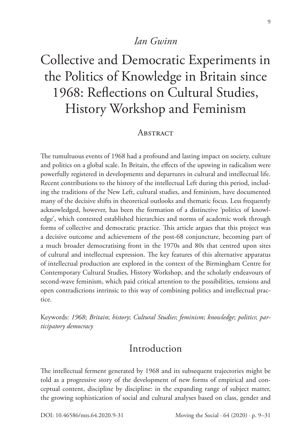#### *Ian Gwinn*

# Collective and Democratic Experiments in the Politics of Knowledge in Britain since 1968: Reflections on Cultural Studies, History Workshop and Feminism

#### **ABSTRACT**

The tumultuous events of 1968 had a profound and lasting impact on society, culture and politics on a global scale. In Britain, the effects of the upswing in radicalism were powerfully registered in developments and departures in cultural and intellectual life. Recent contributions to the history of the intellectual Left during this period, including the traditions of the New Left, cultural studies, and feminism, have documented many of the decisive shifts in theoretical outlooks and thematic focus. Less frequently acknowledged, however, has been the formation of a distinctive 'politics of knowledge', which contested established hierarchies and norms of academic work through forms of collective and democratic practice. This article argues that this project was a decisive outcome and achievement of the post-68 conjuncture, becoming part of a much broader democratising front in the 1970s and 80s that centred upon sites of cultural and intellectual expression. The key features of this alternative apparatus of intellectual production are explored in the context of the Birmingham Centre for Contemporary Cultural Studies, History Workshop, and the scholarly endeavours of second-wave feminism, which paid critical attention to the possibilities, tensions and open contradictions intrinsic to this way of combining politics and intellectual practice.

Keywords: *1968*; *Britain*; *history*; *Cultural Studies*; *feminism*; *knowledge*; *politics*; *participatory democracy*

# Introduction

The intellectual ferment generated by 1968 and its subsequent trajectories might be told as a progressive story of the development of new forms of empirical and conceptual content, discipline by discipline: in the expanding range of subject matter, the growing sophistication of social and cultural analyses based on class, gender and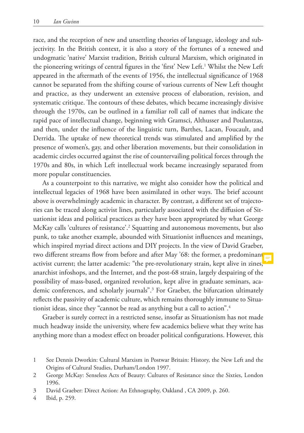race, and the reception of new and unsettling theories of language, ideology and subjectivity. In the British context, it is also a story of the fortunes of a renewed and undogmatic 'native' Marxist tradition, British cultural Marxism, which originated in the pioneering writings of central figures in the 'first' New Left.<sup>1</sup> Whilst the New Left appeared in the aftermath of the events of 1956, the intellectual significance of 1968 cannot be separated from the shifting course of various currents of New Left thought and practice, as they underwent an extensive process of elaboration, revision, and systematic critique. The contours of these debates, which became increasingly divisive through the 1970s, can be outlined in a familiar roll call of names that indicate the rapid pace of intellectual change, beginning with Gramsci, Althusser and Poulantzas, and then, under the influence of the linguistic turn, Barthes, Lacan, Foucault, and Derrida. The uptake of new theoretical trends was stimulated and amplified by the presence of women's, gay, and other liberation movements, but their consolidation in academic circles occurred against the rise of countervailing political forces through the 1970s and 80s, in which Left intellectual work became increasingly separated from more popular constituencies.

As a counterpoint to this narrative, we might also consider how the political and intellectual legacies of 1968 have been assimilated in other ways. The brief account above is overwhelmingly academic in character. By contrast, a different set of trajectories can be traced along activist lines, particularly associated with the diffusion of Situationist ideas and political practices as they have been appropriated by what George McKay calls 'cultures of resistance'.2 Squatting and autonomous movements, but also punk, to take another example, abounded with Situationist influences and meanings, which inspired myriad direct actions and DIY projects. In the view of David Graeber, two different streams flow from before and after May '68: the former, a predominant activist current; the latter academic: "the pre-revolutionary strain, kept alive in zines, anarchist infoshops, and the Internet, and the post-68 strain, largely despairing of the possibility of mass-based, organized revolution, kept alive in graduate seminars, academic conferences, and scholarly journals".3 For Graeber, the bifurcation ultimately reflects the passivity of academic culture, which remains thoroughly immune to Situationist ideas, since they "cannot be read as anything but a call to action".4

Graeber is surely correct in a restricted sense, insofar as Situationism has not made much headway inside the university, where few academics believe what they write has anything more than a modest effect on broader political configurations. However, this

4 Ibid, p. 259.

<sup>1</sup> See Dennis Dworkin: Cultural Marxism in Postwar Britain: History, the New Left and the Origins of Cultural Studies, Durham/London 1997.

<sup>2</sup> George McKay: Senseless Acts of Beauty: Cultures of Resistance since the Sixties, London 1996.

<sup>3</sup> David Graeber: Direct Action: An Ethnography, Oakland , CA 2009, p. 260.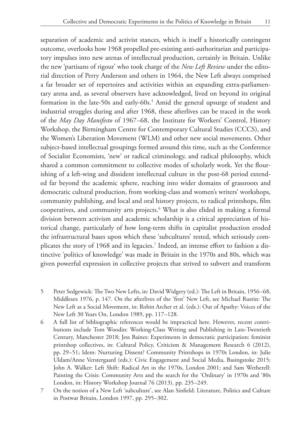outcome, overlooks how 1968 propelled pre-existing anti-authoritarian and participatory impulses into new arenas of intellectual production, certainly in Britain. Unlike the new 'partisans of rigour' who took charge of the *New Left Review* under the editorial direction of Perry Anderson and others in 1964, the New Left always comprised a far broader set of repertoires and activities within an expanding extra-parliamentary arena and, as several observers have acknowledged, lived on beyond its original formation in the late-50s and early-60s.<sup>5</sup> Amid the general upsurge of student and industrial struggles during and after 1968, these afterlives can be traced in the work of the *May Day Manifesto* of 1967–68, the Institute for Workers' Control, History Workshop, the Birmingham Centre for Contemporary Cultural Studies (CCCS), and the Women's Liberation Movement (WLM) and other new social movements. Other subject-based intellectual groupings formed around this time, such as the Conference of Socialist Economists, 'new' or radical criminology, and radical philosophy, which shared a common commitment to collective modes of scholarly work. Yet the flourishing of a left-wing and dissident intellectual culture in the post-68 period extended far beyond the academic sphere, reaching into wider domains of grassroots and democratic cultural production, from working-class and women's writers' workshops, community publishing, and local and oral history projects, to radical printshops, film cooperatives, and community arts projects.6 What is also elided in making a formal division between activism and academic scholarship is a critical appreciation of historical change, particularly of how long-term shifts in capitalist production eroded the infrastructural bases upon which these 'subcultures' rested, which seriously complicates the story of 1968 and its legacies.7 Indeed, an intense effort to fashion a distinctive 'politics of knowledge' was made in Britain in the 1970s and 80s, which was given powerful expression in collective projects that strived to subvert and transform

- 5 Peter Sedgewick: The Two New Lefts, in: David Widgery (ed.): The Left in Britain, 1956–68, Middlesex 1976, p. 147. On the afterlives of the 'first' New Left, see Michael Rustin: The New Left as a Social Movement, in: Robin Archer et al. (eds.): Out of Apathy: Voices of the New Left 30 Years On, London 1989, pp. 117–128.
- 6 A full list of bibliographic references would be impractical here. However, recent contributions include Tom Woodin: Working-Class Writing and Publishing in Late-Twentieth Century, Manchester 2018; Jess Baines: Experiments in democratic participation: feminist printshop collectives, in: Cultural Policy, Criticism & Management Research 6 (2012), pp. 29–51; Idem: Nurturing Dissent? Community Printshops in 1970s London, in: Julie Uldam/Anne Verstergaard (eds.): Civic Engagement and Social Media, Basingstoke 2015; John A. Walker: Left Shift: Radical Art in the 1970s, London 2001; and Sam Wetherell: Painting the Crisis: Community Arts and the search for the 'Ordinary' in 1970s and '80s London, in: History Workshop Journal 76 (2013), pp. 235–249.
- 7 On the notion of a New Left 'subculture', see Alan Sinfield: Literature, Politics and Culture in Postwar Britain, London 1997, pp. 295–302.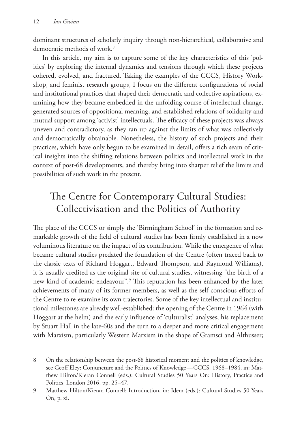dominant structures of scholarly inquiry through non-hierarchical, collaborative and democratic methods of work.<sup>8</sup>

In this article, my aim is to capture some of the key characteristics of this 'politics' by exploring the internal dynamics and tensions through which these projects cohered, evolved, and fractured. Taking the examples of the CCCS, History Workshop, and feminist research groups, I focus on the different configurations of social and institutional practices that shaped their democratic and collective aspirations, examining how they became embedded in the unfolding course of intellectual change, generated sources of oppositional meaning, and established relations of solidarity and mutual support among 'activist' intellectuals. The efficacy of these projects was always uneven and contradictory, as they ran up against the limits of what was collectively and democratically obtainable. Nonetheless, the history of such projects and their practices, which have only begun to be examined in detail, offers a rich seam of critical insights into the shifting relations between politics and intellectual work in the context of post-68 developments, and thereby bring into sharper relief the limits and possibilities of such work in the present.

# The Centre for Contemporary Cultural Studies: Collectivisation and the Politics of Authority

The place of the CCCS or simply the 'Birmingham School' in the formation and remarkable growth of the field of cultural studies has been firmly established in a now voluminous literature on the impact of its contribution. While the emergence of what became cultural studies predated the foundation of the Centre (often traced back to the classic texts of Richard Hoggart, Edward Thompson, and Raymond Williams), it is usually credited as the original site of cultural studies, witnessing "the birth of a new kind of academic endeavour".9 This reputation has been enhanced by the later achievements of many of its former members, as well as the self-conscious efforts of the Centre to re-examine its own trajectories. Some of the key intellectual and institutional milestones are already well-established: the opening of the Centre in 1964 (with Hoggart at the helm) and the early influence of 'culturalist' analyses; his replacement by Stuart Hall in the late-60s and the turn to a deeper and more critical engagement with Marxism, particularly Western Marxism in the shape of Gramsci and Althusser;

<sup>8</sup> On the relationship between the post-68 historical moment and the politics of knowledge, see Geoff Eley: Conjuncture and the Politics of Knowledge — CCCS, 1968–1984, in: Matthew Hilton/Kieran Connell (eds.): Cultural Studies 50 Years On: History, Practice and Politics, London 2016, pp. 25–47.

<sup>9</sup> Matthew Hilton/Kieran Connell: Introduction, in: Idem (eds.): Cultural Studies 50 Years On, p. xi.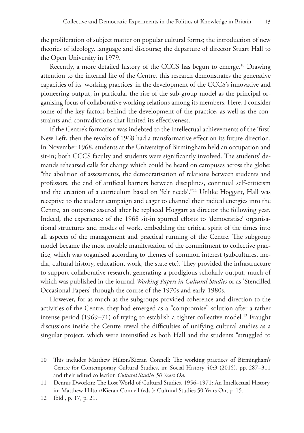the proliferation of subject matter on popular cultural forms; the introduction of new theories of ideology, language and discourse; the departure of director Stuart Hall to the Open University in 1979.

Recently, a more detailed history of the CCCS has begun to emerge.<sup>10</sup> Drawing attention to the internal life of the Centre, this research demonstrates the generative capacities of its 'working practices' in the development of the CCCS's innovative and pioneering output, in particular the rise of the sub-group model as the principal organising focus of collaborative working relations among its members. Here, I consider some of the key factors behind the development of the practice, as well as the constraints and contradictions that limited its effectiveness.

If the Centre's formation was indebted to the intellectual achievements of the 'first' New Left, then the revolts of 1968 had a transformative effect on its future direction. In November 1968, students at the University of Birmingham held an occupation and sit-in; both CCCS faculty and students were significantly involved. The students' demands rehearsed calls for change which could be heard on campuses across the globe: "the abolition of assessments, the democratisation of relations between students and professors, the end of artificial barriers between disciplines, continual self-criticism and the creation of a curriculum based on 'felt needs'."11 Unlike Hoggart, Hall was receptive to the student campaign and eager to channel their radical energies into the Centre, an outcome assured after he replaced Hoggart as director the following year. Indeed, the experience of the 1968 sit-in spurred efforts to 'democratise' organisational structures and modes of work, embedding the critical spirit of the times into all aspects of the management and practical running of the Centre. The subgroup model became the most notable manifestation of the commitment to collective practice, which was organised according to themes of common interest (subcultures, media, cultural history, education, work, the state etc). They provided the infrastructure to support collaborative research, generating a prodigious scholarly output, much of which was published in the journal *Working Papers in Cultural Studies* or as 'Stencilled Occasional Papers' through the course of the 1970s and early-1980s.

However, for as much as the subgroups provided coherence and direction to the activities of the Centre, they had emerged as a "compromise" solution after a rather intense period  $(1969-71)$  of trying to establish a tighter collective model.<sup>12</sup> Fraught discussions inside the Centre reveal the difficulties of unifying cultural studies as a singular project, which were intensified as both Hall and the students "struggled to

<sup>10</sup> This includes Matthew Hilton/Kieran Connell: The working practices of Birmingham's Centre for Contemporary Cultural Studies, in: Social History 40:3 (2015), pp. 287–311 and their edited collection *Cultural Studies 50 Years On*.

<sup>11</sup> Dennis Dworkin: The Lost World of Cultural Studies, 1956–1971: An Intellectual History, in: Matthew Hilton/Kieran Connell (eds.): Cultural Studies 50 Years On, p. 15.

<sup>12</sup> Ibid., p. 17, p. 21.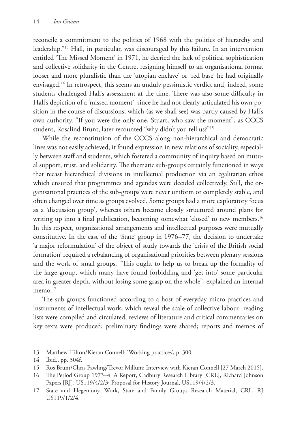reconcile a commitment to the politics of 1968 with the politics of hierarchy and leadership."13 Hall, in particular, was discouraged by this failure. In an intervention entitled 'The Missed Moment' in 1971, he decried the lack of political sophistication and collective solidarity in the Centre, resigning himself to an organisational format looser and more pluralistic than the 'utopian enclave' or 'red base' he had originally envisaged.14 In retrospect, this seems an unduly pessimistic verdict and, indeed, some students challenged Hall's assessment at the time. There was also some difficulty in Hall's depiction of a 'missed moment', since he had not clearly articulated his own position in the course of discussions, which (as we shall see) was partly caused by Hall's own authority. "If you were the only one, Stuart, who saw the moment", as CCCS student, Rosalind Brunt, later recounted "why didn't you tell us?"15

While the reconstitution of the CCCS along non-hierarchical and democratic lines was not easily achieved, it found expression in new relations of sociality, especially between staff and students, which fostered a community of inquiry based on mutual support, trust, and solidarity. The thematic sub-groups certainly functioned in ways that recast hierarchical divisions in intellectual production via an egalitarian ethos which ensured that programmes and agendas were decided collectively. Still, the organisational practices of the sub-groups were never uniform or completely stable, and often changed over time as groups evolved. Some groups had a more exploratory focus as a 'discussion group', whereas others became closely structured around plans for writing up into a final publication, becoming somewhat 'closed' to new members.<sup>16</sup> In this respect, organisational arrangements and intellectual purposes were mutually constitutive. In the case of the 'State' group in 1976–77, the decision to undertake 'a major reformulation' of the object of study towards the 'crisis of the British social formation' required a rebalancing of organisational priorities between plenary sessions and the work of small groups. "This ought to help us to break up the formality of the large group, which many have found forbidding and 'get into' some particular area in greater depth, without losing some grasp on the whole", explained an internal memo.<sup>17</sup>

The sub-groups functioned according to a host of everyday micro-practices and instruments of intellectual work, which reveal the scale of collective labour: reading lists were compiled and circulated; reviews of literature and critical commentaries on key texts were produced; preliminary findings were shared; reports and memos of

- 13 Matthew Hilton/Kieran Connell: 'Working practices', p. 300.
- 14 Ibid., pp. 304f.
- 15 Ros Brunt/Chris Pawling/Trevor Millum: Interview with Kieran Connell [27 March 2015].
- 16 The Period Group 1973–4: A Report, Cadbury Research Library [CRL], Richard Johnson Papers [RJ], US119/4/2/3; Proposal for History Journal, US119/4/2/3.
- 17 State and Hegemony, Work, State and Family Groups Research Material, CRL, RJ US119/1/2/4.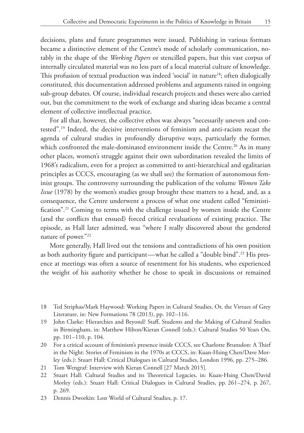decisions, plans and future programmes were issued. Publishing in various formats became a distinctive element of the Centre's mode of scholarly communication, notably in the shape of the *Working Papers* or stencilled papers, but this vast corpus of internally circulated material was no less part of a local material culture of knowledge. This profusion of textual production was indeed 'social' in nature<sup>18</sup>; often dialogically constituted, this documentation addressed problems and arguments raised in ongoing sub-group debates. Of course, individual research projects and theses were also carried out, but the commitment to the work of exchange and sharing ideas became a central element of collective intellectual practice.

For all that, however, the collective ethos was always "necessarily uneven and contested".19 Indeed, the decisive interventions of feminism and anti-racism recast the agenda of cultural studies in profoundly disruptive ways, particularly the former, which confronted the male-dominated environment inside the Centre.<sup>20</sup> As in many other places, women's struggle against their own subordination revealed the limits of 1968's radicalism, even for a project as committed to anti-hierarchical and egalitarian principles as CCCS, encouraging (as we shall see) the formation of autonomous feminist groups. The controversy surrounding the publication of the volume *Women Take Issue* (1978) by the women's studies group brought these matters to a head, and, as a consequence, the Centre underwent a process of what one student called "feministification".21 Coming to terms with the challenge issued by women inside the Centre (and the conflicts that ensued) forced critical revaluations of existing practice. The episode, as Hall later admitted, was "where I really discovered about the gendered nature of power."22

More generally, Hall lived out the tensions and contradictions of his own position as both authority figure and participant—what he called a "double bind".<sup>23</sup> His presence at meetings was often a source of resentment for his students, who experienced the weight of his authority whether he chose to speak in discussions or remained

- 18 Ted Striphas/Mark Haywood: Working Papers in Cultural Studies, Or, the Virtues of Grey Literature, in: New Formations 78 (2013), pp. 102–116.
- 19 John Clarke: Hierarchies and Beyond? Staff, Students and the Making of Cultural Studies in Birmingham, in: Matthew Hilton/Kieran Connell (eds.): Cultural Studies 50 Years On, pp. 101–110, p. 104.
- 20 For a critical account of feminism's presence inside CCCS, see Charlotte Brunsdon: A Thief in the Night: Stories of Feminism in the 1970s at CCCS, in: Kuan-Hsing Chen/Dave Morley (eds.): Stuart Hall: Critical Dialogues in Cultural Studies, London 1996, pp. 275–286.
- 21 Tom Wengraf: Interview with Kieran Connell [27 March 2015].
- 22 Stuart Hall: Cultural Studies and its Theoretical Legacies, in: Kuan-Hsing Chen/David Morley (eds.): Stuart Hall: Critical Dialogues in Cultural Studies, pp. 261–274, p. 267, p. 269.
- 23 Dennis Dworkin: Lost World of Cultural Studies, p. 17.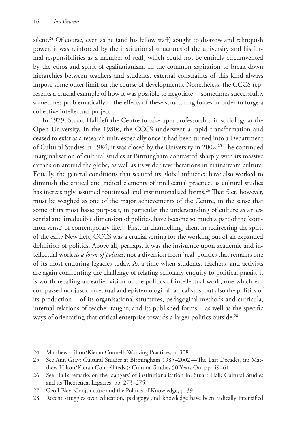silent.<sup>24</sup> Of course, even as he (and his fellow staff) sought to disavow and relinquish power, it was reinforced by the institutional structures of the university and his formal responsibilities as a member of staff, which could not be entirely circumvented by the ethos and spirit of egalitarianism. In the common aspiration to break down hierarchies between teachers and students, external constraints of this kind always impose some outer limit on the course of developments. Nonetheless, the CCCS represents a crucial example of how it was possible to negotiate — sometimes successfully, sometimes problematically — the effects of these structuring forces in order to forge a collective intellectual project.

In 1979, Stuart Hall left the Centre to take up a professorship in sociology at the Open University. In the 1980s, the CCCS underwent a rapid transformation and ceased to exist as a research unit, especially once it had been turned into a Department of Cultural Studies in 1984; it was closed by the University in 2002.25 The continued marginalisation of cultural studies at Birmingham contrasted sharply with its massive expansion around the globe, as well as its wider reverberations in mainstream culture. Equally, the general conditions that secured its global influence have also worked to diminish the critical and radical elements of intellectual practice, as cultural studies has increasingly assumed routinised and institutionalised forms.<sup>26</sup> That fact, however, must be weighed as one of the major achievements of the Centre, in the sense that some of its most basic purposes, in particular the understanding of culture as an essential and irreducible dimension of politics, have become so much a part of the 'common sense' of contemporary life.<sup>27</sup> First, in channelling, then, in redirecting the spirit of the early New Left, CCCS was a crucial setting for the working out of an expanded definition of politics. Above all, perhaps, it was the insistence upon academic and intellectual work *as a form of politics*, not a diversion from 'real' politics that remains one of its most enduring legacies today. At a time when students, teachers, and activists are again confronting the challenge of relating scholarly enquiry to political praxis, it is worth recalling an earlier vision of the politics of intellectual work, one which encompassed not just conceptual and epistemological radicalisms, but also the politics of its production — of its organisational structures, pedagogical methods and curricula, internal relations of teacher-taught, and its published forms-as well as the specific ways of orientating that critical enterprise towards a larger politics outside.<sup>28</sup>

- 24 Matthew Hilton/Kieran Connell: Working Practices, p. 308.
- 25 See Ann Gray: Cultural Studies at Birmingham 1985–2002 The Last Decades, in: Matthew Hilton/Kieran Connell (eds.): Cultural Studies 50 Years On, pp. 49–61.
- 26 See Hall's remarks on the 'dangers' of institutionalisation in: Stuart Hall: Cultural Studies and its Theoretical Legacies, pp. 273–275.
- 27 Geoff Eley: Conjuncture and the Politics of Knowledge, p. 39.
- 28 Recent struggles over education, pedagogy and knowledge have been radically intensified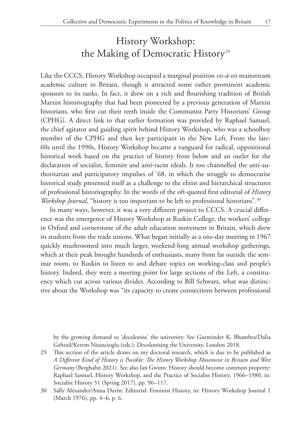# History Workshop: the Making of Democratic History<sup>29</sup>

Like the CCCS, History Workshop occupied a marginal position *vis-à-vis* mainstream academic culture in Britain, though it attracted some rather prominent academic sponsors to its ranks. In fact, it drew on a rich and flourishing tradition of British Marxist historiography that had been pioneered by a previous generation of Marxist historians, who first cut their teeth inside the Communist Party Historians' Group (CPHG). A direct link to that earlier formation was provided by Raphael Samuel, the chief agitator and guiding spirit behind History Workshop, who was a schoolboy member of the CPHG and then key participant in the New Left. From the late-60s until the 1990s, History Workshop became a vanguard for radical, oppositional historical work based on the practice of history from below and an outlet for the declaration of socialist, feminist and anti-racist ideals. It too channelled the anti-authoritarian and participatory impulses of '68, in which the struggle to democratise historical study presented itself as a challenge to the elitist and hierarchical structures of professional historiography. In the words of the oft-quoted first editorial of *History Workshop Journal*, "history is too important to be left to professional historians".<sup>30</sup>

In many ways, however, it was a very different project to CCCS. A crucial difference was the emergence of History Workshop at Ruskin College, the workers' college in Oxford and cornerstone of the adult education movement in Britain, which drew its students from the trade unions. What began initially as a one-day meeting in 1967 quickly mushroomed into much larger, weekend-long annual workshop gatherings, which at their peak brought hundreds of enthusiasts, many from far outside the seminar room, to Ruskin to listen to and debate topics on working-class and people's history. Indeed, they were a meeting point for large sections of the Left, a constituency which cut across various divides. According to Bill Schwarz, what was distinctive about the Workshop was "its capacity to create connections between professional

by the growing demand to 'decolonise' the university. See Gurminder K. Bhambra/Dalia Gebrail/Kerem Nisancioglu (eds.): Decolonising the University, London 2018.

29 This section of the article draws on my doctoral research, which is due to be published as *A Different Kind of History is Possible: The History Workshop Movement in Britain and West Germany* (Berghahn 2021). See also Ian Gwinn: History should become common property: Raphael Samuel, History Workshop, and the Practice of Socialist History, 1966–1980, in: Socialist History 51 (Spring 2017), pp. 96–117.

<sup>30</sup> Sally Alexander/Anna Davin: Editorial: Feminist History, in: History Workshop Journal 1 (March 1976), pp. 4–6, p. 6.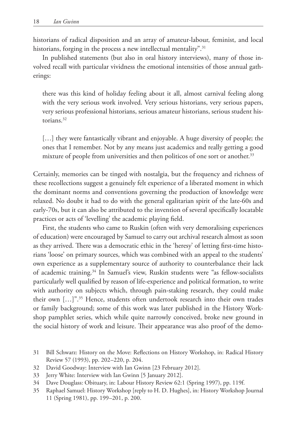historians of radical disposition and an array of amateur-labour, feminist, and local historians, forging in the process a new intellectual mentality".<sup>31</sup>

In published statements (but also in oral history interviews), many of those involved recall with particular vividness the emotional intensities of those annual gatherings:

there was this kind of holiday feeling about it all, almost carnival feeling along with the very serious work involved. Very serious historians, very serious papers, very serious professional historians, serious amateur historians, serious student historians.<sup>32</sup>

[...] they were fantastically vibrant and enjoyable. A huge diversity of people; the ones that I remember. Not by any means just academics and really getting a good mixture of people from universities and then politicos of one sort or another.<sup>33</sup>

Certainly, memories can be tinged with nostalgia, but the frequency and richness of these recollections suggest a genuinely felt experience of a liberated moment in which the dominant norms and conventions governing the production of knowledge were relaxed. No doubt it had to do with the general egalitarian spirit of the late-60s and early-70s, but it can also be attributed to the invention of several specifically locatable practices or acts of 'levelling' the academic playing field.

First, the students who came to Ruskin (often with very demoralising experiences of education) were encouraged by Samuel to carry out archival research almost as soon as they arrived. There was a democratic ethic in the 'heresy' of letting first-time historians 'loose' on primary sources, which was combined with an appeal to the students' own experience as a supplementary source of authority to counterbalance their lack of academic training.34 In Samuel's view, Ruskin students were "as fellow-socialists particularly well qualified by reason of life-experience and political formation, to write with authority on subjects which, through pain-staking research, they could make their own […]".35 Hence, students often undertook research into their own trades or family background; some of this work was later published in the History Workshop pamphlet series, which while quite narrowly conceived, broke new ground in the social history of work and leisure. Their appearance was also proof of the demo-

- 32 David Goodway: Interview with Ian Gwinn [23 February 2012].
- 33 Jerry White: Interview with Ian Gwinn [5 January 2012].
- 34 Dave Douglass: Obituary, in: Labour History Review 62:1 (Spring 1997), pp. 119f.
- 35 Raphael Samuel: History Workshop [reply to H. D. Hughes], in: History Workshop Journal 11 (Spring 1981), pp. 199–201, p. 200.

<sup>31</sup> Bill Schwarz: History on the Move: Reflections on History Workshop, in: Radical History Review 57 (1993), pp. 202–220, p. 204.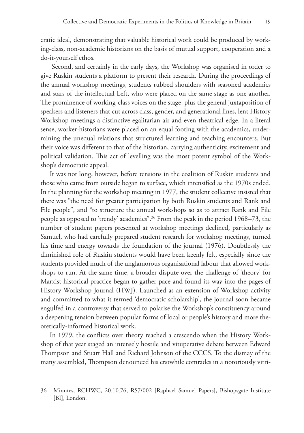cratic ideal, demonstrating that valuable historical work could be produced by working-class, non-academic historians on the basis of mutual support, cooperation and a do-it-yourself ethos.

 Second, and certainly in the early days, the Workshop was organised in order to give Ruskin students a platform to present their research. During the proceedings of the annual workshop meetings, students rubbed shoulders with seasoned academics and stars of the intellectual Left, who were placed on the same stage as one another. The prominence of working-class voices on the stage, plus the general juxtaposition of speakers and listeners that cut across class, gender, and generational lines, lent History Workshop meetings a distinctive egalitarian air and even theatrical edge. In a literal sense, worker-historians were placed on an equal footing with the academics, undermining the unequal relations that structured learning and teaching encounters. But their voice was different to that of the historian, carrying authenticity, excitement and political validation. This act of levelling was the most potent symbol of the Workshop's democratic appeal.

It was not long, however, before tensions in the coalition of Ruskin students and those who came from outside began to surface, which intensified as the 1970s ended. In the planning for the workshop meeting in 1977, the student collective insisted that there was "the need for greater participation by both Ruskin students and Rank and File people", and "to structure the annual workshops so as to attract Rank and File people as opposed to 'trendy' academics".36 From the peak in the period 1968–73, the number of student papers presented at workshop meetings declined, particularly as Samuel, who had carefully prepared student research for workshop meetings, turned his time and energy towards the foundation of the journal (1976). Doubtlessly the diminished role of Ruskin students would have been keenly felt, especially since the students provided much of the unglamorous organisational labour that allowed workshops to run. At the same time, a broader dispute over the challenge of 'theory' for Marxist historical practice began to gather pace and found its way into the pages of History Workshop Journal (HWJ). Launched as an extension of Workshop activity and committed to what it termed 'democratic scholarship', the journal soon became engulfed in a controversy that served to polarise the Workshop's constituency around a deepening tension between popular forms of local or people's history and more theoretically-informed historical work.

In 1979, the conflicts over theory reached a crescendo when the History Workshop of that year staged an intensely hostile and vituperative debate between Edward Thompson and Stuart Hall and Richard Johnson of the CCCS. To the dismay of the many assembled, Thompson denounced his erstwhile comrades in a notoriously vitri-

<sup>36</sup> Minutes, RCHWC, 20.10.76, RS7/002 [Raphael Samuel Papers], Bishopsgate Institute [BI], London.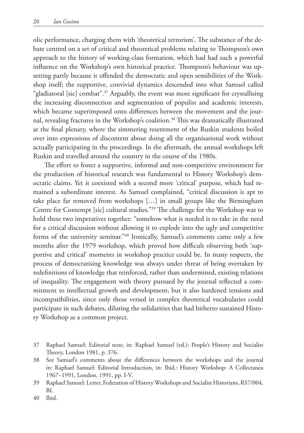olic performance, charging them with 'theoretical terrorism'. The substance of the debate centred on a set of critical and theoretical problems relating to Thompson's own approach to the history of working-class formation, which had had such a powerful influence on the Workshop's own historical practice. Thompson's behaviour was upsetting partly because it offended the democratic and open sensibilities of the Workshop itself; the supportive, convivial dynamics descended into what Samuel called "gladiatoral [sic] combat".37 Arguably, the event was more significant for crystallising the increasing disconnection and segmentation of populist and academic interests, which became superimposed onto differences between the movement and the journal, revealing fractures in the Workshop's coalition.<sup>38</sup> This was dramatically illustrated at the final plenary, where the simmering resentment of the Ruskin students boiled over into expressions of discontent about doing all the organisational work without actually participating in the proceedings. In the aftermath, the annual workshops left Ruskin and travelled around the country in the course of the 1980s.

 The effort to foster a supportive, informal and non-competitive environment for the production of historical research was fundamental to History Workshop's democratic claims. Yet it coexisted with a second more 'critical' purpose, which had remained a subordinate interest. As Samuel complained, "critical discussion is apt to take place far removed from workshops […] in small groups like the Birmingham Centre for Contempt [sic] cultural studies."39 The challenge for the Workshop was to hold these two imperatives together: "somehow what is needed is to take in the need for a critical discussion without allowing it to explode into the ugly and competitive forms of the university seminar."40 Ironically, Samuel's comments came only a few months after the 1979 workshop, which proved how difficult observing both 'supportive and critical' moments in workshop practice could be. In many respects, the process of democratising knowledge was always under threat of being overtaken by redefinitions of knowledge that reinforced, rather than undermined, existing relations of inequality. The engagement with theory pursued by the journal reflected a commitment to intellectual growth and development, but it also hardened tensions and incompatibilities, since only those versed in complex theoretical vocabularies could participate in such debates, diluting the solidarities that had hitherto sustained History Workshop as a common project.

40 Ibid.

<sup>37</sup> Raphael Samuel: Editorial note, in: Raphael Samuel (ed.): People's History and Socialist Theory, London 1981, p. 376.

<sup>38</sup> See Samuel's comments about the differences between the workshops and the journal in: Raphael Samuel: Editorial Introduction, in: Ibid.: History Workshop: A Collectanea 1967–1991, London, 1991, pp. I-V.

<sup>39</sup> Raphael Samuel: Letter, Federation of History Workshops and Socialist Historians, RS7/004, BI.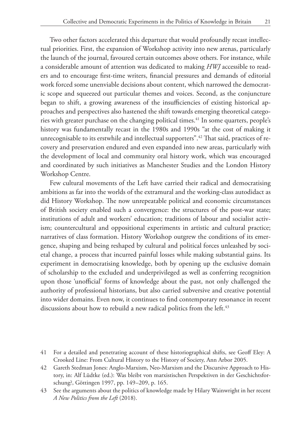Two other factors accelerated this departure that would profoundly recast intellectual priorities. First, the expansion of Workshop activity into new arenas, particularly the launch of the journal, favoured certain outcomes above others. For instance, while a considerable amount of attention was dedicated to making *HWJ* accessible to readers and to encourage first-time writers, financial pressures and demands of editorial work forced some unenviable decisions about content, which narrowed the democratic scope and squeezed out particular themes and voices. Second, as the conjuncture began to shift, a growing awareness of the insufficiencies of existing historical approaches and perspectives also hastened the shift towards emerging theoretical categories with greater purchase on the changing political times.<sup>41</sup> In some quarters, people's history was fundamentally recast in the 1980s and 1990s "at the cost of making it unrecognisable to its erstwhile and intellectual supporters".<sup>42</sup> That said, practices of recovery and preservation endured and even expanded into new areas, particularly with the development of local and community oral history work, which was encouraged and coordinated by such initiatives as Manchester Studies and the London History Workshop Centre.

Few cultural movements of the Left have carried their radical and democratising ambitions as far into the worlds of the extramural and the working-class autodidact as did History Workshop. The now unrepeatable political and economic circumstances of British society enabled such a convergence: the structures of the post-war state; institutions of adult and workers' education; traditions of labour and socialist activism; countercultural and oppositional experiments in artistic and cultural practice; narratives of class formation. History Workshop outgrew the conditions of its emergence, shaping and being reshaped by cultural and political forces unleashed by societal change, a process that incurred painful losses while making substantial gains. Its experiment in democratising knowledge, both by opening up the exclusive domain of scholarship to the excluded and underprivileged as well as conferring recognition upon those 'unofficial' forms of knowledge about the past, not only challenged the authority of professional historians, but also carried subversive and creative potential into wider domains. Even now, it continues to find contemporary resonance in recent discussions about how to rebuild a new radical politics from the left.<sup>43</sup>

<sup>41</sup> For a detailed and penetrating account of these historiographical shifts, see Geoff Eley: A Crooked Line: From Cultural History to the History of Society, Ann Arbor 2005.

<sup>42</sup> Gareth Stedman Jones: Anglo-Marxism, Neo-Marxism and the Discursive Approach to History, in: Alf Lüdtke (ed.): Was bleibt von marxistischen Perspektiven in der Geschichtsforschung?, Göttingen 1997, pp. 149–209, p. 165.

<sup>43</sup> See the arguments about the politics of knowledge made by Hilary Wainwright in her recent *A New Politics from the Left* (2018).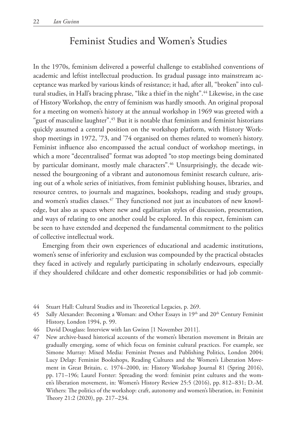# Feminist Studies and Women's Studies

In the 1970s, feminism delivered a powerful challenge to established conventions of academic and leftist intellectual production. Its gradual passage into mainstream acceptance was marked by various kinds of resistance; it had, after all, "broken" into cultural studies, in Hall's bracing phrase, "like a thief in the night".<sup>44</sup> Likewise, in the case of History Workshop, the entry of feminism was hardly smooth. An original proposal for a meeting on women's history at the annual workshop in 1969 was greeted with a "gust of masculine laughter".45 But it is notable that feminism and feminist historians quickly assumed a central position on the workshop platform, with History Workshop meetings in 1972, '73, and '74 organised on themes related to women's history. Feminist influence also encompassed the actual conduct of workshop meetings, in which a more "decentralised" format was adopted "to stop meetings being dominated by particular dominant, mostly male characters".<sup>46</sup> Unsurprisingly, the decade witnessed the bourgeoning of a vibrant and autonomous feminist research culture, arising out of a whole series of initiatives, from feminist publishing houses, libraries, and resource centres, to journals and magazines, bookshops, reading and study groups, and women's studies classes.<sup>47</sup> They functioned not just as incubators of new knowledge, but also as spaces where new and egalitarian styles of discussion, presentation, and ways of relating to one another could be explored. In this respect, feminism can be seen to have extended and deepened the fundamental commitment to the politics of collective intellectual work.

Emerging from their own experiences of educational and academic institutions, women's sense of inferiority and exclusion was compounded by the practical obstacles they faced in actively and regularly participating in scholarly endeavours, especially if they shouldered childcare and other domestic responsibilities or had job commit-

- 44 Stuart Hall: Cultural Studies and its Theoretical Legacies, p. 269.
- 45 Sally Alexander: Becoming a Woman: and Other Essays in 19<sup>th</sup> and 20<sup>th</sup> Century Feminist History, London 1994, p. 99.
- 46 David Douglass: Interview with Ian Gwinn [1 November 2011].
- 47 New archive-based historical accounts of the women's liberation movement in Britain are gradually emerging, some of which focus on feminist cultural practices. For example, see Simone Murray: Mixed Media: Feminist Presses and Publishing Politics, London 2004; Lucy Delap: Feminist Bookshops, Reading Cultures and the Women's Liberation Movement in Great Britain, c. 1974–2000, in: History Workshop Journal 81 (Spring 2016), pp. 171–196; Laurel Forster: Spreading the word: feminist print cultures and the women's liberation movement, in: Women's History Review 25:5 (2016), pp. 812–831; D.-M. Withers: The politics of the workshop: craft, autonomy and women's liberation, in: Feminist Theory 21:2 (2020), pp. 217–234.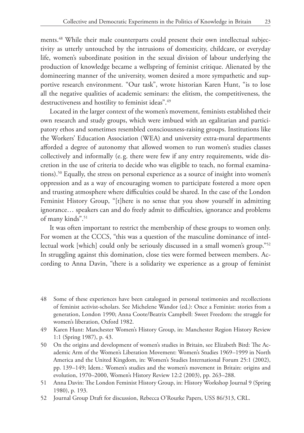ments.<sup>48</sup> While their male counterparts could present their own intellectual subjectivity as utterly untouched by the intrusions of domesticity, childcare, or everyday life, women's subordinate position in the sexual division of labour underlying the production of knowledge became a wellspring of feminist critique. Alienated by the domineering manner of the university, women desired a more sympathetic and supportive research environment. "Our task", wrote historian Karen Hunt, "is to lose all the negative qualities of academic seminars: the elitism, the competitiveness, the destructiveness and hostility to feminist ideas".<sup>49</sup>

Located in the larger context of the women's movement, feminists established their own research and study groups, which were imbued with an egalitarian and participatory ethos and sometimes resembled consciousness-raising groups. Institutions like the Workers' Education Association (WEA) and university extra-mural departments afforded a degree of autonomy that allowed women to run women's studies classes collectively and informally (e. g. there were few if any entry requirements, wide discretion in the use of criteria to decide who was eligible to teach, no formal examinations).50 Equally, the stress on personal experience as a source of insight into women's oppression and as a way of encouraging women to participate fostered a more open and trusting atmosphere where difficulties could be shared. In the case of the London Feminist History Group, "[t]here is no sense that you show yourself in admitting ignorance… speakers can and do freely admit to difficulties, ignorance and problems of many kinds".<sup>51</sup>

It was often important to restrict the membership of these groups to women only. For women at the CCCS, "this was a question of the masculine dominance of intellectual work [which] could only be seriously discussed in a small women's group."52 In struggling against this domination, close ties were formed between members. According to Anna Davin, "there is a solidarity we experience as a group of feminist

<sup>48</sup> Some of these experiences have been catalogued in personal testimonies and recollections of feminist activist-scholars. See Michelene Wandor (ed.): Once a Feminist: stories from a generation, London 1990; Anna Coote/Beatrix Campbell: Sweet Freedom: the struggle for women's liberation, Oxford 1982.

<sup>49</sup> Karen Hunt: Manchester Women's History Group, in: Manchester Region History Review 1:1 (Spring 1987), p. 43.

<sup>50</sup> On the origins and development of women's studies in Britain, see Elizabeth Bird: The Academic Arm of the Women's Liberation Movement: Women's Studies 1969–1999 in North America and the United Kingdom, in: Women's Studies International Forum 25:1 (2002), pp. 139–149; Idem.: Women's studies and the women's movement in Britain: origins and evolution, 1970–2000, Women's History Review 12:2 (2003), pp. 263–288.

<sup>51</sup> Anna Davin: The London Feminist History Group, in: History Workshop Journal 9 (Spring 1980), p. 193.

<sup>52</sup> Journal Group Draft for discussion, Rebecca O'Rourke Papers, USS 86/313, CRL.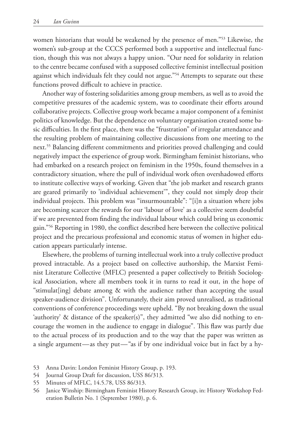women historians that would be weakened by the presence of men."53 Likewise, the women's sub-group at the CCCS performed both a supportive and intellectual function, though this was not always a happy union. "Our need for solidarity in relation to the centre became confused with a supposed collective feminist intellectual position against which individuals felt they could not argue."<sup>54</sup> Attempts to separate out these functions proved difficult to achieve in practice.

Another way of fostering solidarities among group members, as well as to avoid the competitive pressures of the academic system, was to coordinate their efforts around collaborative projects. Collective group work became a major component of a feminist politics of knowledge. But the dependence on voluntary organisation created some basic difficulties. In the first place, there was the "frustration" of irregular attendance and the resulting problem of maintaining collective discussions from one meeting to the next.55 Balancing different commitments and priorities proved challenging and could negatively impact the experience of group work. Birmingham feminist historians, who had embarked on a research project on feminism in the 1950s, found themselves in a contradictory situation, where the pull of individual work often overshadowed efforts to institute collective ways of working. Given that "the job market and research grants are geared primarily to 'individual achievement'", they could not simply drop their individual projects. This problem was "insurmountable": "[i]n a situation where jobs are becoming scarcer the rewards for our 'labour of love' as a collective seem doubtful if we are prevented from finding the individual labour which could bring us economic gain."56 Reporting in 1980, the conflict described here between the collective political project and the precarious professional and economic status of women in higher education appears particularly intense.

Elsewhere, the problems of turning intellectual work into a truly collective product proved intractable. As a project based on collective authorship, the Marxist Feminist Literature Collective (MFLC) presented a paper collectively to British Sociological Association, where all members took it in turns to read it out, in the hope of "stimulat[ing] debate among & with the audience rather than accepting the usual speaker-audience division". Unfortunately, their aim proved unrealised, as traditional conventions of conference proceedings were upheld. "By not breaking down the usual 'authority' & distance of the speaker(s)", they admitted "we also did nothing to encourage the women in the audience to engage in dialogue". This flaw was partly due to the actual process of its production and to the way that the paper was written as a single argument—as they put—"as if by one individual voice but in fact by a hy-

- 53 Anna Davin: London Feminist History Group, p. 193.
- 54 Journal Group Draft for discussion, USS 86/313.
- 55 Minutes of MFLC, 14.5.78, USS 86/313.
- 56 Janice Winship: Birmingham Feminist History Research Group, in: History Workshop Federation Bulletin No. 1 (September 1980), p. 6.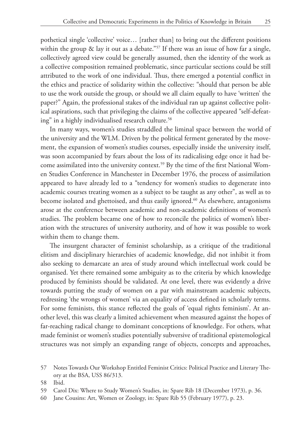pothetical single 'collective' voice… [rather than] to bring out the different positions within the group  $\&$  lay it out as a debate."<sup>57</sup> If there was an issue of how far a single, collectively agreed view could be generally assumed, then the identity of the work as a collective composition remained problematic, since particular sections could be still attributed to the work of one individual. Thus, there emerged a potential conflict in the ethics and practice of solidarity within the collective: "should that person be able to use the work outside the group, or should we all claim equally to have 'written' the paper?" Again, the professional stakes of the individual ran up against collective political aspirations, such that privileging the claims of the collective appeared "self-defeating" in a highly individualised research culture.<sup>58</sup>

In many ways, women's studies straddled the liminal space between the world of the university and the WLM. Driven by the political ferment generated by the movement, the expansion of women's studies courses, especially inside the university itself, was soon accompanied by fears about the loss of its radicalising edge once it had become assimilated into the university context.<sup>59</sup> By the time of the first National Women Studies Conference in Manchester in December 1976, the process of assimilation appeared to have already led to a "tendency for women's studies to degenerate into academic courses treating women as a subject to be taught as any other", as well as to become isolated and ghettoised, and thus easily ignored.<sup>60</sup> As elsewhere, antagonisms arose at the conference between academic and non-academic definitions of women's studies. The problem became one of how to reconcile the politics of women's liberation with the structures of university authority, and of how it was possible to work within them to change them.

The insurgent character of feminist scholarship, as a critique of the traditional elitism and disciplinary hierarchies of academic knowledge, did not inhibit it from also seeking to demarcate an area of study around which intellectual work could be organised. Yet there remained some ambiguity as to the criteria by which knowledge produced by feminists should be validated. At one level, there was evidently a drive towards putting the study of women on a par with mainstream academic subjects, redressing 'the wrongs of women' via an equality of access defined in scholarly terms. For some feminists, this stance reflected the goals of 'equal rights feminism'. At another level, this was clearly a limited achievement when measured against the hopes of far-reaching radical change to dominant conceptions of knowledge. For others, what made feminist or women's studies potentially subversive of traditional epistemological structures was not simply an expanding range of objects, concepts and approaches,

60 Jane Cousins: Art, Women or Zoology, in: Spare Rib 55 (February 1977), p. 23.

<sup>57</sup> Notes Towards Our Workshop Entitled Feminist Critics: Political Practice and Literary Theory at the BSA, USS 86/313.

<sup>58</sup> Ibid.

<sup>59</sup> Carol Dix: Where to Study Women's Studies, in: Spare Rib 18 (December 1973), p. 36.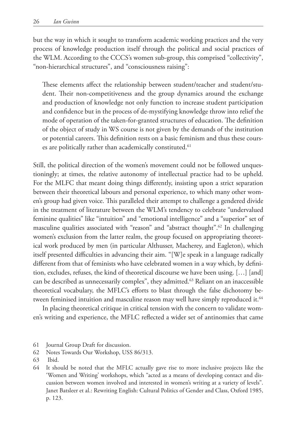but the way in which it sought to transform academic working practices and the very process of knowledge production itself through the political and social practices of the WLM. According to the CCCS's women sub-group, this comprised "collectivity", "non-hierarchical structures", and "consciousness raising":

These elements affect the relationship between student/teacher and student/student. Their non-competitiveness and the group dynamics around the exchange and production of knowledge not only function to increase student participation and confidence but in the process of de-mystifying knowledge throw into relief the mode of operation of the taken-for-granted structures of education. The definition of the object of study in WS course is not given by the demands of the institution or potential careers. This definition rests on a basic feminism and thus these courses are politically rather than academically constituted.<sup>61</sup>

Still, the political direction of the women's movement could not be followed unquestioningly; at times, the relative autonomy of intellectual practice had to be upheld. For the MLFC that meant doing things differently, insisting upon a strict separation between their theoretical labours and personal experience, to which many other women's group had given voice. This paralleled their attempt to challenge a gendered divide in the treatment of literature between the WLM's tendency to celebrate "undervalued feminine qualities" like "intuition" and "emotional intelligence" and a "superior" set of masculine qualities associated with "reason" and "abstract thought".<sup>62</sup> In challenging women's exclusion from the latter realm, the group focused on appropriating theoretical work produced by men (in particular Althusser, Macherey, and Eagleton), which itself presented difficulties in advancing their aim. "[W]e speak in a language radically different from that of feminists who have celebrated women in a way which, by definition, excludes, refuses, the kind of theoretical discourse we have been using. […] [and] can be described as unnecessarily complex", they admitted. $63$  Reliant on an inaccessible theoretical vocabulary, the MFLC's efforts to blast through the false dichotomy between feminised intuition and masculine reason may well have simply reproduced it. $^{64}$ 

In placing theoretical critique in critical tension with the concern to validate women's writing and experience, the MFLC reflected a wider set of antinomies that came

<sup>61</sup> Journal Group Draft for discussion.

<sup>62</sup> Notes Towards Our Workshop, USS 86/313.

<sup>63</sup> Ibid.

<sup>64</sup> It should be noted that the MFLC actually gave rise to more inclusive projects like the 'Women and Writing' workshops, which "acted as a means of developing contact and discussion between women involved and interested in women's writing at a variety of levels". Janet Batsleer et al.: Rewriting English: Cultural Politics of Gender and Class, Oxford 1985, p. 123.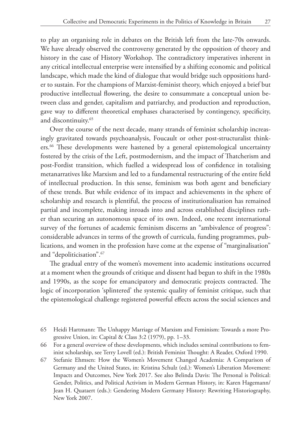to play an organising role in debates on the British left from the late-70s onwards. We have already observed the controversy generated by the opposition of theory and history in the case of History Workshop. The contradictory imperatives inherent in any critical intellectual enterprise were intensified by a shifting economic and political landscape, which made the kind of dialogue that would bridge such oppositions harder to sustain. For the champions of Marxist-feminist theory, which enjoyed a brief but productive intellectual flowering, the desire to consummate a conceptual union between class and gender, capitalism and patriarchy, and production and reproduction, gave way to different theoretical emphases characterised by contingency, specificity, and discontinuity.65

Over the course of the next decade, many strands of feminist scholarship increasingly gravitated towards psychoanalysis, Foucault or other post-structuralist thinkers.66 These developments were hastened by a general epistemological uncertainty fostered by the crisis of the Left, postmodernism, and the impact of Thatcherism and post-Fordist transition, which fuelled a widespread loss of confidence in totalising metanarratives like Marxism and led to a fundamental restructuring of the entire field of intellectual production. In this sense, feminism was both agent and beneficiary of these trends. But while evidence of its impact and achievements in the sphere of scholarship and research is plentiful, the process of institutionalisation has remained partial and incomplete, making inroads into and across established disciplines rather than securing an autonomous space of its own. Indeed, one recent international survey of the fortunes of academic feminism discerns an "ambivalence of progress": considerable advances in terms of the growth of curricula, funding programmes, publications, and women in the profession have come at the expense of "marginalisation" and "depoliticisation".67

The gradual entry of the women's movement into academic institutions occurred at a moment when the grounds of critique and dissent had begun to shift in the 1980s and 1990s, as the scope for emancipatory and democratic projects contracted. The logic of incorporation 'splintered' the systemic quality of feminist critique, such that the epistemological challenge registered powerful effects across the social sciences and

- 65 Heidi Hartmann: The Unhappy Marriage of Marxism and Feminism: Towards a more Progressive Union, in: Capital & Class 3:2 (1979), pp. 1–33.
- 66 For a general overview of these developments, which includes seminal contributions to feminist scholarship, see Terry Lovell (ed.): British Feminist Thought: A Reader, Oxford 1990.
- 67 Stefanie Ehmsen: How the Women's Movement Changed Academia: A Comparison of Germany and the United States, in: Kristina Schulz (ed.): Women's Liberation Movement: Impacts and Outcomes, New York 2017. See also Belinda Davis: The Personal is Political: Gender, Politics, and Political Activism in Modern German History, in: Karen Hagemann/ Jean H. Quataert (eds.): Gendering Modern Germany History: Rewriting Historiography, New York 2007.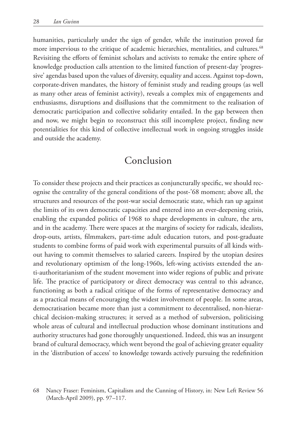humanities, particularly under the sign of gender, while the institution proved far more impervious to the critique of academic hierarchies, mentalities, and cultures.<sup>68</sup> Revisiting the efforts of feminist scholars and activists to remake the entire sphere of knowledge production calls attention to the limited function of present-day 'progressive' agendas based upon the values of diversity, equality and access. Against top-down, corporate-driven mandates, the history of feminist study and reading groups (as well as many other areas of feminist activity), reveals a complex mix of engagements and enthusiasms, disruptions and disillusions that the commitment to the realisation of democratic participation and collective solidarity entailed. In the gap between then and now, we might begin to reconstruct this still incomplete project, finding new potentialities for this kind of collective intellectual work in ongoing struggles inside and outside the academy.

### Conclusion

To consider these projects and their practices as conjuncturally specific, we should recognise the centrality of the general conditions of the post-'68 moment; above all, the structures and resources of the post-war social democratic state, which ran up against the limits of its own democratic capacities and entered into an ever-deepening crisis, enabling the expanded politics of 1968 to shape developments in culture, the arts, and in the academy. There were spaces at the margins of society for radicals, idealists, drop-outs, artists, filmmakers, part-time adult education tutors, and post-graduate students to combine forms of paid work with experimental pursuits of all kinds without having to commit themselves to salaried careers. Inspired by the utopian desires and revolutionary optimism of the long-1960s, left-wing activists extended the anti-authoritarianism of the student movement into wider regions of public and private life. The practice of participatory or direct democracy was central to this advance, functioning as both a radical critique of the forms of representative democracy and as a practical means of encouraging the widest involvement of people. In some areas, democratisation became more than just a commitment to decentralised, non-hierarchical decision-making structures; it served as a method of subversion, politicising whole areas of cultural and intellectual production whose dominant institutions and authority structures had gone thoroughly unquestioned. Indeed, this was an insurgent brand of cultural democracy, which went beyond the goal of achieving greater equality in the 'distribution of access' to knowledge towards actively pursuing the redefinition

<sup>68</sup> Nancy Fraser: Feminism, Capitalism and the Cunning of History, in: New Left Review 56 (March-April 2009), pp. 97–117.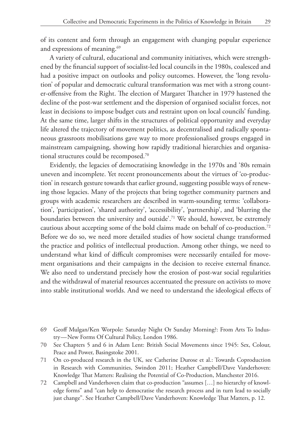of its content and form through an engagement with changing popular experience and expressions of meaning.<sup>69</sup>

A variety of cultural, educational and community initiatives, which were strengthened by the financial support of socialist-led local councils in the 1980s, coalesced and had a positive impact on outlooks and policy outcomes. However, the 'long revolution' of popular and democratic cultural transformation was met with a strong counter-offensive from the Right. The election of Margaret Thatcher in 1979 hastened the decline of the post-war settlement and the dispersion of organised socialist forces, not least in decisions to impose budget cuts and restraint upon on local councils' funding. At the same time, larger shifts in the structures of political opportunity and everyday life altered the trajectory of movement politics, as decentralised and radically spontaneous grassroots mobilisations gave way to more professionalised groups engaged in mainstream campaigning, showing how rapidly traditional hierarchies and organisational structures could be recomposed.70

Evidently, the legacies of democratising knowledge in the 1970s and '80s remain uneven and incomplete. Yet recent pronouncements about the virtues of 'co-production' in research gesture towards that earlier ground, suggesting possible ways of renewing those legacies. Many of the projects that bring together community partners and groups with academic researchers are described in warm-sounding terms: 'collaboration', 'participation', 'shared authority', 'accessibility', 'partnership', and 'blurring the boundaries between the university and outside'.<sup>71</sup> We should, however, be extremely cautious about accepting some of the bold claims made on behalf of co-production.72 Before we do so, we need more detailed studies of how societal change transformed the practice and politics of intellectual production. Among other things, we need to understand what kind of difficult compromises were necessarily entailed for movement organisations and their campaigns in the decision to receive external finance. We also need to understand precisely how the erosion of post-war social regularities and the withdrawal of material resources accentuated the pressure on activists to move into stable institutional worlds. And we need to understand the ideological effects of

72 Campbell and Vanderhoven claim that co-production "assumes […] no hierarchy of knowledge forms" and "can help to democratise the research process and in turn lead to socially just change". See Heather Campbell/Dave Vanderhoven: Knowledge That Matters, p. 12.

<sup>69</sup> Geoff Mulgan/Ken Worpole: Saturday Night Or Sunday Morning?: From Arts To Industry — New Forms Of Cultural Policy, London 1986.

<sup>70</sup> See Chapters 5 and 6 in Adam Lent: British Social Movements since 1945: Sex, Colour, Peace and Power, Basingstoke 2001.

<sup>71</sup> On co-produced research in the UK, see Catherine Durose et al.: Towards Coproduction in Research with Communities, Swindon 2011; Heather Campbell/Dave Vanderhoven: Knowledge That Matters: Realising the Potential of Co-Production, Manchester 2016.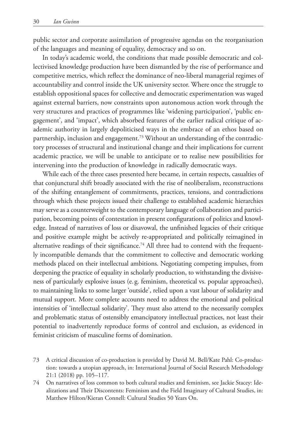public sector and corporate assimilation of progressive agendas on the reorganisation of the languages and meaning of equality, democracy and so on.

In today's academic world, the conditions that made possible democratic and collectivised knowledge production have been dismantled by the rise of performance and competitive metrics, which reflect the dominance of neo-liberal managerial regimes of accountability and control inside the UK university sector. Where once the struggle to establish oppositional spaces for collective and democratic experimentation was waged against external barriers, now constraints upon autonomous action work through the very structures and practices of programmes like 'widening participation', 'public engagement', and 'impact', which absorbed features of the earlier radical critique of academic authority in largely depoliticised ways in the embrace of an ethos based on partnership, inclusion and engagement.<sup>73</sup> Without an understanding of the contradictory processes of structural and institutional change and their implications for current academic practice, we will be unable to anticipate or to realise new possibilities for intervening into the production of knowledge in radically democratic ways.

While each of the three cases presented here became, in certain respects, casualties of that conjunctural shift broadly associated with the rise of neoliberalism, reconstructions of the shifting entanglement of commitments, practices, tensions, and contradictions through which these projects issued their challenge to established academic hierarchies may serve as a counterweight to the contemporary language of collaboration and participation, becoming points of contestation in present configurations of politics and knowledge. Instead of narratives of loss or disavowal, the unfinished legacies of their critique and positive example might be actively re-appropriated and politically reimagined in alternative readings of their significance.<sup>74</sup> All three had to contend with the frequently incompatible demands that the commitment to collective and democratic working methods placed on their intellectual ambitions. Negotiating competing impulses, from deepening the practice of equality in scholarly production, to withstanding the divisiveness of particularly explosive issues (e.g. feminism, theoretical vs. popular approaches), to maintaining links to some larger 'outside', relied upon a vast labour of solidarity and mutual support. More complete accounts need to address the emotional and political intensities of 'intellectual solidarity'. They must also attend to the necessarily complex and problematic status of ostensibly emancipatory intellectual practices, not least their potential to inadvertently reproduce forms of control and exclusion, as evidenced in feminist criticism of masculine forms of domination.

- 73 A critical discussion of co-production is provided by David M. Bell/Kate Pahl: Co-production: towards a utopian approach, in: International Journal of Social Research Methodology 21:1 (2018) pp. 105–117.
- 74 On narratives of loss common to both cultural studies and feminism, see Jackie Stacey: Idealizations and Their Discontents: Feminism and the Field Imaginary of Cultural Studies, in: Matthew Hilton/Kieran Connell: Cultural Studies 50 Years On.